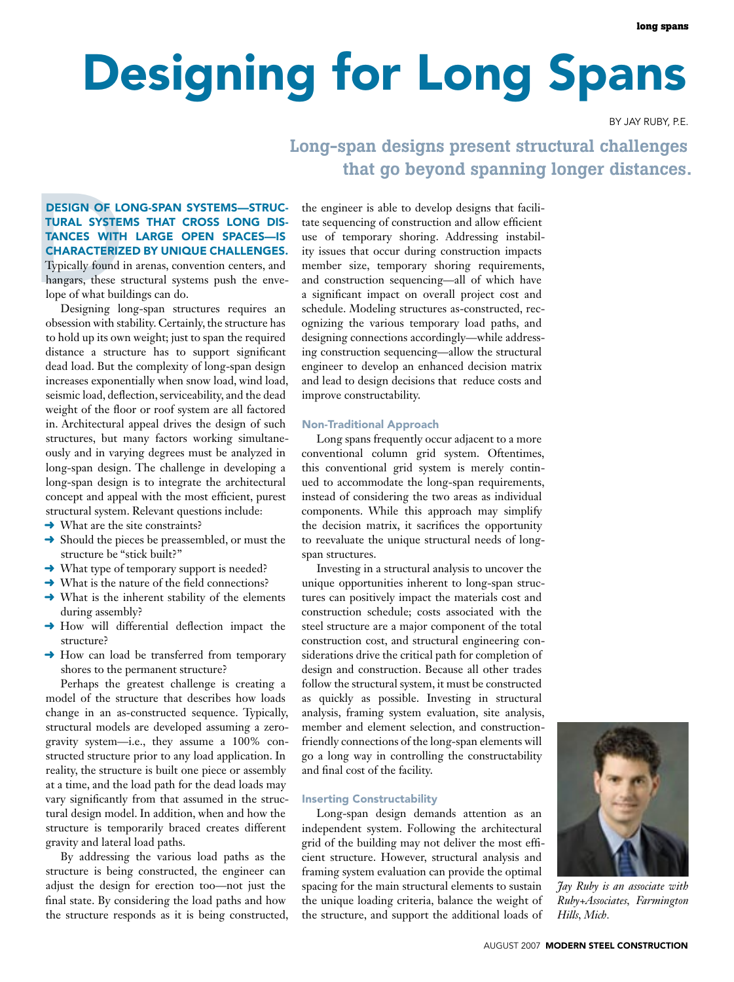# Designing for Long Spans

By Jay Ruby, P.E.

## Long-span designs present structural challenges that go beyond spanning longer distances.

## **DESIGN OF LC<br>TURAL SYSTEI<br>TANCES WITH<br>CHARACTERIZ**<br>Typically found in<br>hangars, these shope of what buil<br>Designing lo Design of long-span systems—structural systems that cross long distances with large open spaces—is characterized by unique challenges. Typically found in arenas, convention centers, and

hangars, these structural systems push the envelope of what buildings can do.

Designing long-span structures requires an obsession with stability. Certainly, the structure has to hold up its own weight; just to span the required distance a structure has to support significant dead load. But the complexity of long-span design increases exponentially when snow load, wind load, seismic load, deflection, serviceability, and the dead weight of the floor or roof system are all factored in. Architectural appeal drives the design of such structures, but many factors working simultaneously and in varying degrees must be analyzed in long-span design. The challenge in developing a long-span design is to integrate the architectural concept and appeal with the most efficient, purest structural system. Relevant questions include:

- $\rightarrow$  What are the site constraints?
- $\rightarrow$  Should the pieces be preassembled, or must the structure be "stick built?"
- **→** What type of temporary support is needed?
- **→** What is the nature of the field connections?
- $\rightarrow$  What is the inherent stability of the elements during assembly?
- ➜ How will differential deflection impact the structure?
- **→** How can load be transferred from temporary shores to the permanent structure?

Perhaps the greatest challenge is creating a model of the structure that describes how loads change in an as-constructed sequence. Typically, structural models are developed assuming a zerogravity system—i.e., they assume a 100% constructed structure prior to any load application. In reality, the structure is built one piece or assembly at a time, and the load path for the dead loads may vary significantly from that assumed in the structural design model. In addition, when and how the structure is temporarily braced creates different gravity and lateral load paths.

By addressing the various load paths as the structure is being constructed, the engineer can adjust the design for erection too—not just the final state. By considering the load paths and how the structure responds as it is being constructed, the engineer is able to develop designs that facilitate sequencing of construction and allow efficient use of temporary shoring. Addressing instability issues that occur during construction impacts member size, temporary shoring requirements, and construction sequencing—all of which have a significant impact on overall project cost and schedule. Modeling structures as-constructed, recognizing the various temporary load paths, and designing connections accordingly—while addressing construction sequencing—allow the structural engineer to develop an enhanced decision matrix and lead to design decisions that reduce costs and improve constructability.

#### Non-Traditional Approach

Long spans frequently occur adjacent to a more conventional column grid system. Oftentimes, this conventional grid system is merely continued to accommodate the long-span requirements, instead of considering the two areas as individual components. While this approach may simplify the decision matrix, it sacrifices the opportunity to reevaluate the unique structural needs of longspan structures.

Investing in a structural analysis to uncover the unique opportunities inherent to long-span structures can positively impact the materials cost and construction schedule; costs associated with the steel structure are a major component of the total construction cost, and structural engineering considerations drive the critical path for completion of design and construction. Because all other trades follow the structural system, it must be constructed as quickly as possible. Investing in structural analysis, framing system evaluation, site analysis, member and element selection, and constructionfriendly connections of the long-span elements will go a long way in controlling the constructability and final cost of the facility.

#### Inserting Constructability

Long-span design demands attention as an independent system. Following the architectural grid of the building may not deliver the most efficient structure. However, structural analysis and framing system evaluation can provide the optimal spacing for the main structural elements to sustain the unique loading criteria, balance the weight of the structure, and support the additional loads of



*Jay Ruby is an associate with Ruby+Associates, Farmington Hills, Mich.*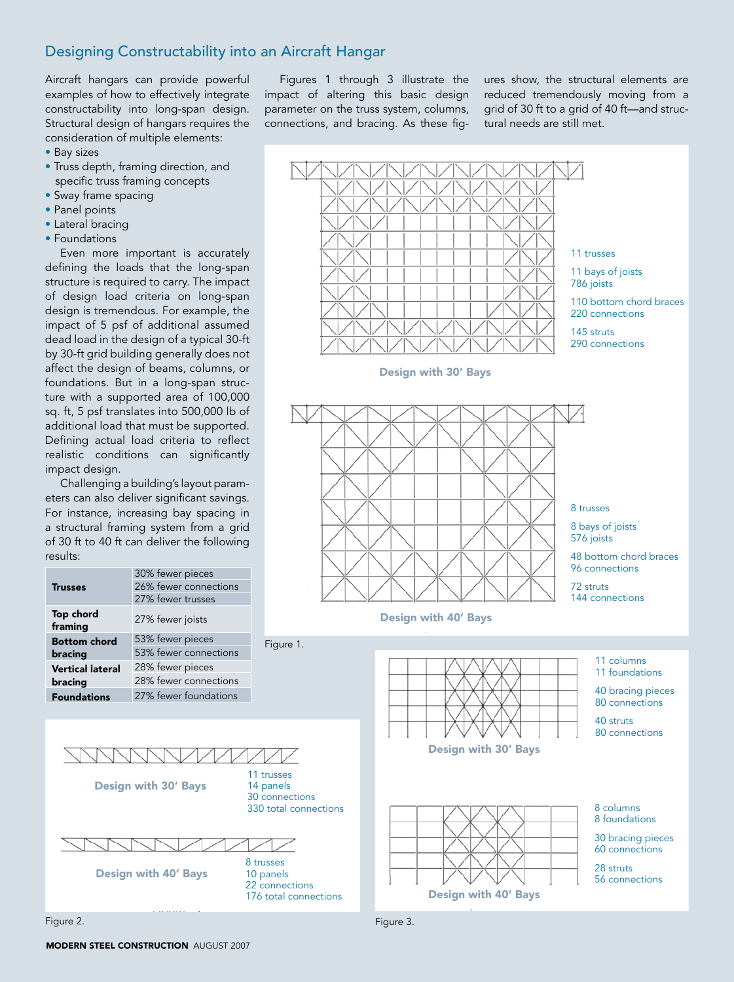### Designing Constructability into an Aircraft Hangar

Aircraft hangars can provide powerful examples of how to effectively integrate constructability into long-span design. Structural design of hangars requires the consideration of multiple elements:

- Bay sizes
- Truss depth, framing direction, and specific truss framing concepts
- Sway frame spacing
- Panel points
- Lateral bracing
- Foundations

Even more important is accurately defining the loads that the long-span structure is required to carry. The impact of design load criteria on long-span design is tremendous. For example, the impact of 5 psf of additional assumed dead load in the design of a typical 30-ft by 30-ft grid building generally does not affect the design of beams, columns, or foundations. But in a long-span structure with a supported area of 100,000 sq. ft, 5 psf translates into 500,000 lb of additional load that must be supported. Defining actual load criteria to reflect realistic conditions can significantly impact design.

Challenging a building's layout parameters can also deliver significant savings. For instance, increasing bay spacing in a structural framing system from a grid of 30 ft to 40 ft can deliver the following results:

| <b>Trusses</b>                     | 30% fewer pieces      |
|------------------------------------|-----------------------|
|                                    | 26% fewer connections |
|                                    | 27% fewer trusses     |
| Top chord<br>framing               | 27% fewer joists      |
| <b>Bottom chord</b>                | 53% fewer pieces      |
| bracing                            | 53% fewer connections |
| <b>Vertical lateral</b><br>bracing | 28% fewer pieces      |
|                                    | 28% fewer connections |
| <b>Foundations</b>                 | 27% fewer foundations |
|                                    |                       |



Figures 1 through 3 illustrate the impact of altering this basic design parameter on the truss system, columns, connections, and bracing. As these figures show, the structural elements are reduced tremendously moving from a grid of 30 ft to a grid of 40 ft—and structural needs are still met.



Figure 2. Figure 3.